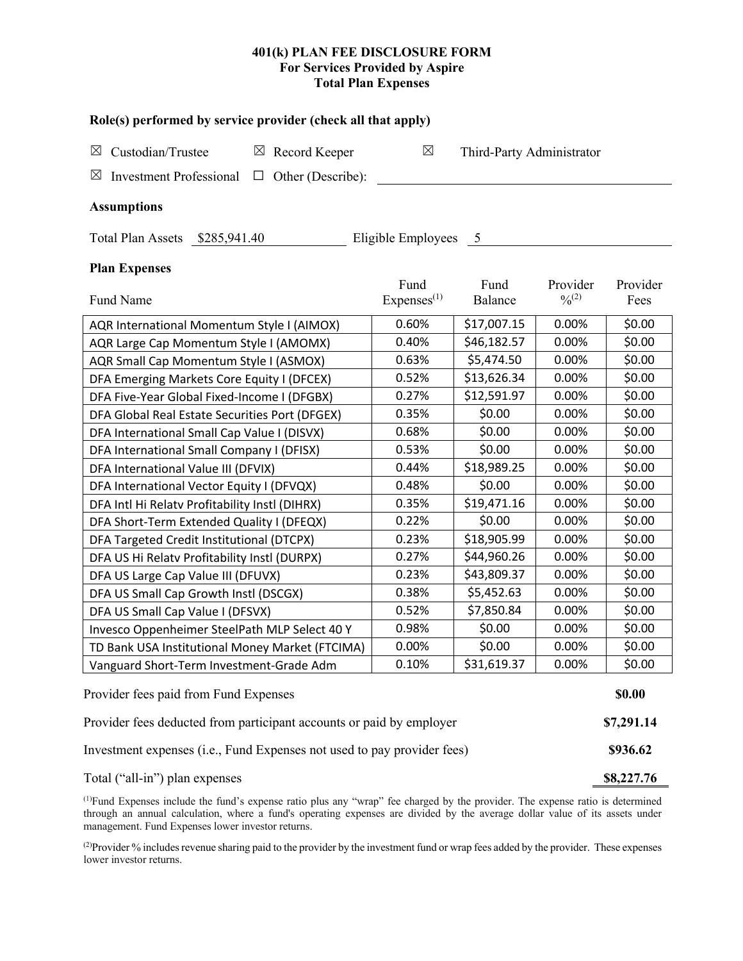## **401(k) PLAN FEE DISCLOSURE FORM For Services Provided by Aspire Total Plan Expenses**

| Role(s) performed by service provider (check all that apply)            |                                |                           |                         |                  |  |  |  |  |  |
|-------------------------------------------------------------------------|--------------------------------|---------------------------|-------------------------|------------------|--|--|--|--|--|
| Custodian/Trustee<br>$\boxtimes$ Record Keeper<br>⊠                     | $\boxtimes$                    | Third-Party Administrator |                         |                  |  |  |  |  |  |
| <b>Investment Professional</b><br>Other (Describe):<br>⊠<br>$\Box$      |                                |                           |                         |                  |  |  |  |  |  |
| <b>Assumptions</b>                                                      |                                |                           |                         |                  |  |  |  |  |  |
| Total Plan Assets \$285,941.40<br>Eligible Employees<br>$5\overline{)}$ |                                |                           |                         |                  |  |  |  |  |  |
| <b>Plan Expenses</b>                                                    |                                |                           |                         |                  |  |  |  |  |  |
| Fund Name                                                               | Fund<br>Express <sup>(1)</sup> | Fund<br>Balance           | Provider<br>$0/0^{(2)}$ | Provider<br>Fees |  |  |  |  |  |
| AQR International Momentum Style I (AIMOX)                              | 0.60%                          | \$17,007.15               | 0.00%                   | \$0.00           |  |  |  |  |  |
| AQR Large Cap Momentum Style I (AMOMX)                                  | 0.40%                          | \$46,182.57               | 0.00%                   | \$0.00           |  |  |  |  |  |
| AQR Small Cap Momentum Style I (ASMOX)                                  | 0.63%                          | \$5,474.50                | 0.00%                   | \$0.00           |  |  |  |  |  |
| DFA Emerging Markets Core Equity I (DFCEX)                              | 0.52%                          | \$13,626.34               | 0.00%                   | \$0.00           |  |  |  |  |  |
| DFA Five-Year Global Fixed-Income I (DFGBX)                             | 0.27%                          | \$12,591.97               | 0.00%                   | \$0.00           |  |  |  |  |  |
| DFA Global Real Estate Securities Port (DFGEX)                          | 0.35%                          | \$0.00                    | 0.00%                   | \$0.00           |  |  |  |  |  |
| DFA International Small Cap Value I (DISVX)                             | 0.68%                          | \$0.00                    | 0.00%                   | \$0.00           |  |  |  |  |  |
| DFA International Small Company I (DFISX)                               | 0.53%                          | \$0.00                    | 0.00%                   | \$0.00           |  |  |  |  |  |
| DFA International Value III (DFVIX)                                     | 0.44%                          | \$18,989.25               | 0.00%                   | \$0.00           |  |  |  |  |  |
| DFA International Vector Equity I (DFVQX)                               | 0.48%                          | \$0.00                    | 0.00%                   | \$0.00           |  |  |  |  |  |
| DFA Intl Hi Relatv Profitability Instl (DIHRX)                          | 0.35%                          | \$19,471.16               | 0.00%                   | \$0.00           |  |  |  |  |  |
| DFA Short-Term Extended Quality I (DFEQX)                               | 0.22%                          | \$0.00                    | 0.00%                   | \$0.00           |  |  |  |  |  |
| DFA Targeted Credit Institutional (DTCPX)                               | 0.23%                          | \$18,905.99               | 0.00%                   | \$0.00           |  |  |  |  |  |
| DFA US Hi Relatv Profitability Instl (DURPX)                            | 0.27%                          | \$44,960.26               | 0.00%                   | \$0.00           |  |  |  |  |  |
| DFA US Large Cap Value III (DFUVX)                                      | 0.23%                          | \$43,809.37               | 0.00%                   | \$0.00           |  |  |  |  |  |
| DFA US Small Cap Growth Instl (DSCGX)                                   | 0.38%                          | \$5,452.63                | 0.00%                   | \$0.00           |  |  |  |  |  |
| DFA US Small Cap Value I (DFSVX)                                        | 0.52%                          | \$7,850.84                | 0.00%                   | \$0.00           |  |  |  |  |  |
| Invesco Oppenheimer SteelPath MLP Select 40 Y                           | 0.98%                          | \$0.00                    | 0.00%                   | \$0.00           |  |  |  |  |  |
| TD Bank USA Institutional Money Market (FTCIMA)                         | 0.00%                          | \$0.00                    | 0.00%                   | \$0.00           |  |  |  |  |  |
| Vanguard Short-Term Investment-Grade Adm                                | 0.10%                          | \$31,619.37               | 0.00%                   | \$0.00           |  |  |  |  |  |
| Provider fees paid from Fund Expenses                                   |                                |                           |                         |                  |  |  |  |  |  |
| Provider fees deducted from participant accounts or paid by employer    |                                |                           |                         |                  |  |  |  |  |  |
| Investment expenses (i.e., Fund Expenses not used to pay provider fees) |                                |                           |                         |                  |  |  |  |  |  |
| Total ("all-in") plan expenses                                          |                                |                           |                         |                  |  |  |  |  |  |

(1) Fund Expenses include the fund's expense ratio plus any "wrap" fee charged by the provider. The expense ratio is determined through an annual calculation, where a fund's operating expenses are divided by the average dollar value of its assets under management. Fund Expenses lower investor returns.

(2) Provider % includes revenue sharing paid to the provider by the investment fund or wrap fees added by the provider. These expenses lower investor returns.